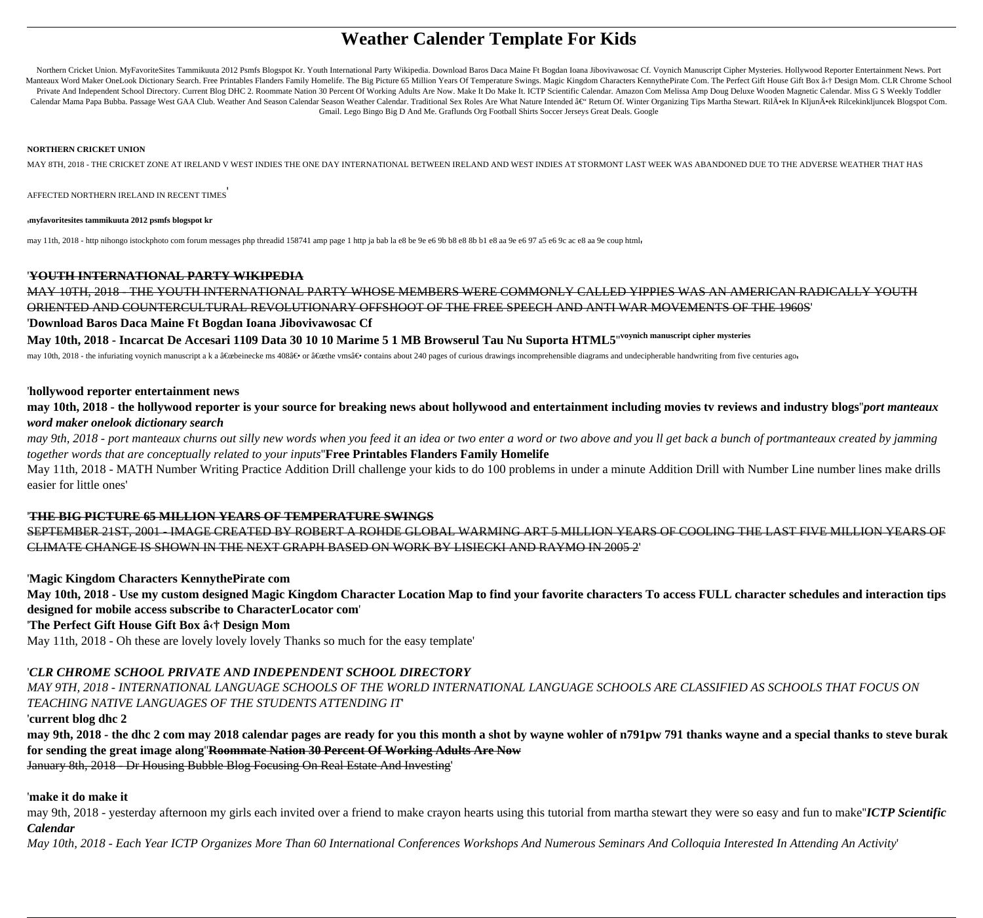# **Weather Calender Template For Kids**

Northern Cricket Union. MyFavoriteSites Tammikuuta 2012 Psmfs Blogspot Kr. Youth International Party Wikipedia. Download Baros Daca Maine Ft Bogdan Ioana Jibovivawosac Cf. Voynich Manuscript Cipher Mysteries. Hollywood Rep Manteaux Word Maker OneLook Dictionary Search. Free Printables Flanders Family Homelife. The Big Picture 65 Million Years Of Temperature Swings. Magic Kingdom Characters KennythePirate Com. The Perfect Gift House Gift Box Private And Independent School Directory. Current Blog DHC 2. Roommate Nation 30 Percent Of Working Adults Are Now. Make It Do Make It. ICTP Scientific Calendar. Amazon Com Melissa Amp Doug Deluxe Wooden Magnetic Calendar. Calendar Mama Papa Bubba. Passage West GAA Club. Weather And Season Calendar Season Weather Calendar. Traditional Sex Roles Are What Nature Intended â€" Return Of. Winter Organizing Tips Martha Stewart. RilÄ•ek In KljunÄ• Gmail. Lego Bingo Big D And Me. Graflunds Org Football Shirts Soccer Jerseys Great Deals. Google

#### **NORTHERN CRICKET UNION**

MAY 8TH, 2018 - THE CRICKET ZONE AT IRELAND V WEST INDIES THE ONE DAY INTERNATIONAL BETWEEN IRELAND AND WEST INDIES AT STORMONT LAST WEEK WAS ABANDONED DUE TO THE ADVERSE WEATHER THAT HAS

AFFECTED NORTHERN IRELAND IN RECENT TIMES'

#### '**myfavoritesites tammikuuta 2012 psmfs blogspot kr**

may 11th, 2018 - http nihongo istockphoto com forum messages php threadid 158741 amp page 1 http ja bab la e8 be 9e e6 9b b8 e8 8b b1 e8 aa 9e e6 97 a5 e6 9c ac e8 aa 9e coup html

#### '**YOUTH INTERNATIONAL PARTY WIKIPEDIA**

MAY 10TH, 2018 - THE YOUTH INTERNATIONAL PARTY WHOSE MEMBERS WERE COMMONLY CALLED YIPPIES WAS AN AMERICAN RADICALLY YOUTH ORIENTED AND COUNTERCULTURAL REVOLUTIONARY OFFSHOOT OF THE FREE SPEECH AND ANTI WAR MOVEMENTS OF THE 1960S'

# '**Download Baros Daca Maine Ft Bogdan Ioana Jibovivawosac Cf**

**May 10th, 2018 - Incarcat De Accesari 1109 Data 30 10 10 Marime 5 1 MB Browserul Tau Nu Suporta HTML5**''**voynich manuscript cipher mysteries**

may 10th, 2018 - the infuriating voynich manuscript a k a  $\hat{\alpha} \in \text{cbeinecke}$  ms  $408\hat{\alpha} \in \cdot$  or  $\hat{\alpha} \in \text{ccethe vms}$   $\hat{\alpha} \in \cdot$  or  $\hat{\alpha} \in \text{cce}$  the vms $\hat{\alpha} \in \cdot$  or  $\hat{\alpha} \in \alpha$  the vertains about 240 pages of curious

#### '**hollywood reporter entertainment news**

**may 10th, 2018 - the hollywood reporter is your source for breaking news about hollywood and entertainment including movies tv reviews and industry blogs**''*port manteaux word maker onelook dictionary search*

*may 9th, 2018 - port manteaux churns out silly new words when you feed it an idea or two enter a word or two above and you ll get back a bunch of portmanteaux created by jamming together words that are conceptually related to your inputs*''**Free Printables Flanders Family Homelife**

May 11th, 2018 - MATH Number Writing Practice Addition Drill challenge your kids to do 100 problems in under a minute Addition Drill with Number Line number lines make drills easier for little ones'

#### '**THE BIG PICTURE 65 MILLION YEARS OF TEMPERATURE SWINGS**

SEPTEMBER 21ST, 2001 - IMAGE CREATED BY ROBERT A ROHDE GLOBAL WARMING ART 5 MILLION YEARS OF COOLING THE LAST FIVE MILLION YEARS OF CLIMATE CHANGE IS SHOWN IN THE NEXT GRAPH BASED ON WORK BY LISIECKI AND RAYMO IN 2005 2'

'**Magic Kingdom Characters KennythePirate com**

**May 10th, 2018 - Use my custom designed Magic Kingdom Character Location Map to find your favorite characters To access FULL character schedules and interaction tips designed for mobile access subscribe to CharacterLocator com**'

'The Perfect Gift House Gift Box  $\hat{a}$ <sup>†</sup> Design Mom

May 11th, 2018 - Oh these are lovely lovely lovely Thanks so much for the easy template'

### '*CLR CHROME SCHOOL PRIVATE AND INDEPENDENT SCHOOL DIRECTORY*

*MAY 9TH, 2018 - INTERNATIONAL LANGUAGE SCHOOLS OF THE WORLD INTERNATIONAL LANGUAGE SCHOOLS ARE CLASSIFIED AS SCHOOLS THAT FOCUS ON TEACHING NATIVE LANGUAGES OF THE STUDENTS ATTENDING IT*'

'**current blog dhc 2**

**may 9th, 2018 - the dhc 2 com may 2018 calendar pages are ready for you this month a shot by wayne wohler of n791pw 791 thanks wayne and a special thanks to steve burak for sending the great image along**''**Roommate Nation 30 Percent Of Working Adults Are Now** January 8th, 2018 - Dr Housing Bubble Blog Focusing On Real Estate And Investing'

'**make it do make it**

may 9th, 2018 - yesterday afternoon my girls each invited over a friend to make crayon hearts using this tutorial from martha stewart they were so easy and fun to make''*ICTP Scientific Calendar*

*May 10th, 2018 - Each Year ICTP Organizes More Than 60 International Conferences Workshops And Numerous Seminars And Colloquia Interested In Attending An Activity*'